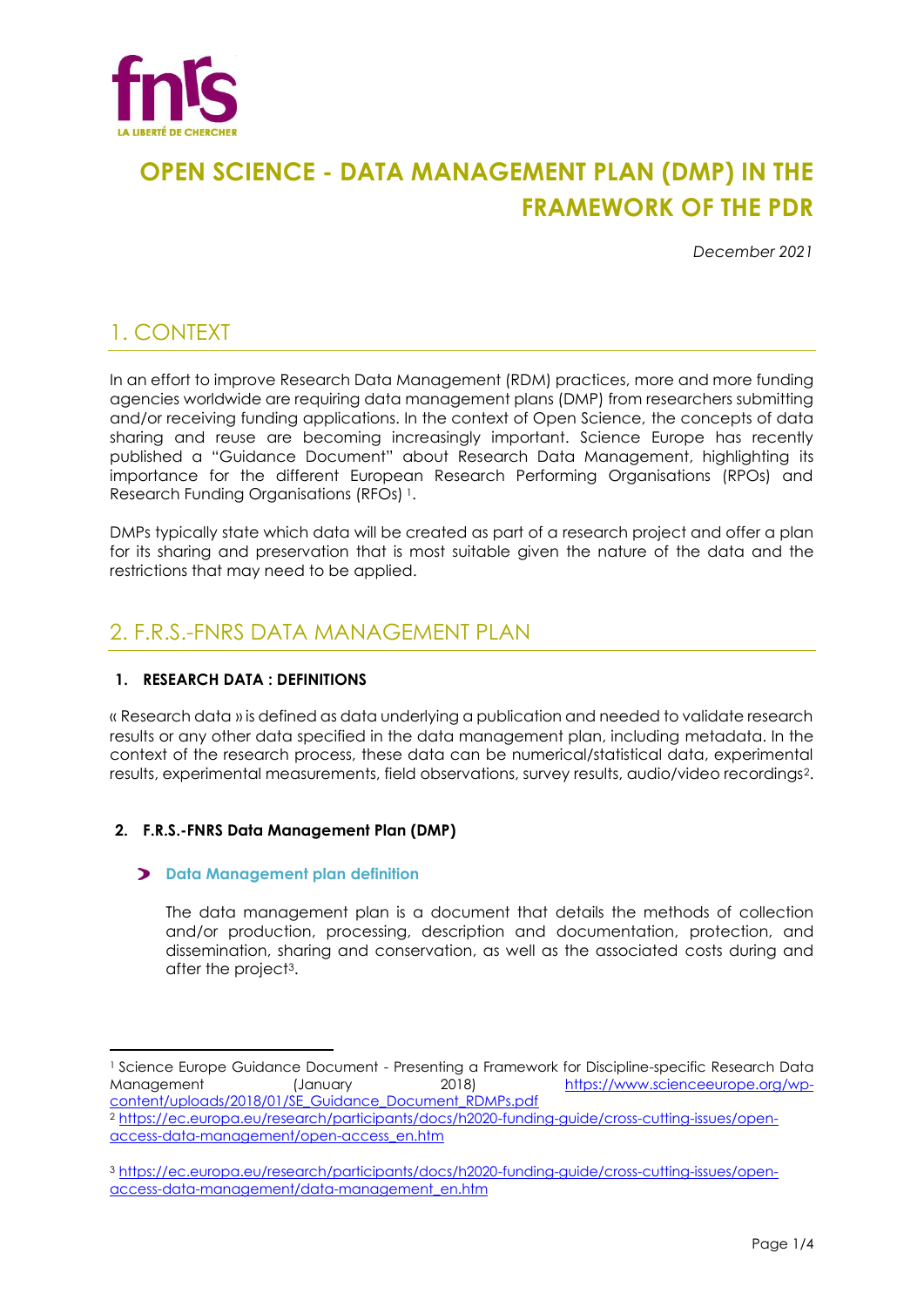

# **OPEN SCIENCE - DATA MANAGEMENT PLAN (DMP) IN THE FRAMEWORK OF THE PDR**

*December 2021*

## 1. CONTEXT

In an effort to improve Research Data Management (RDM) practices, more and more funding agencies worldwide are requiring data management plans (DMP) from researchers submitting and/or receiving funding applications. In the context of Open Science, the concepts of data sharing and reuse are becoming increasingly important. Science Europe has recently published a "Guidance Document" about Research Data Management, highlighting its importance for the different European Research Performing Organisations (RPOs) and Research Funding Organisations (RFOs) <sup>1</sup>.

DMPs typically state which data will be created as part of a research project and offer a plan for its sharing and preservation that is most suitable given the nature of the data and the restrictions that may need to be applied.

### 2. F.R.S.-FNRS DATA MANAGEMENT PLAN

### **1. RESEARCH DATA : DEFINITIONS**

« Research data » is defined as data underlying a publication and needed to validate research results or any other data specified in the data management plan, including metadata. In the context of the research process, these data can be numerical/statistical data, experimental results, experimental measurements, field observations, survey results, audio/video recordings2.

### **2. F.R.S.-FNRS Data Management Plan (DMP)**

### **Data Management plan definition**

The data management plan is a document that details the methods of collection and/or production, processing, description and documentation, protection, and dissemination, sharing and conservation, as well as the associated costs during and after the project3.

<sup>1</sup> Science Europe Guidance Document - Presenting a Framework for Discipline-specific Research Data Management (January 2018) [https://www.scienceeurope.org/wp](https://www.scienceeurope.org/wp-content/uploads/2018/01/SE_Guidance_Document_RDMPs.pdf)[content/uploads/2018/01/SE\\_Guidance\\_Document\\_RDMPs.pdf](https://www.scienceeurope.org/wp-content/uploads/2018/01/SE_Guidance_Document_RDMPs.pdf)

<sup>2</sup> [https://ec.europa.eu/research/participants/docs/h2020-funding-guide/cross-cutting-issues/open](https://ec.europa.eu/research/participants/docs/h2020-funding-guide/cross-cutting-issues/open-access-data-management/open-access_en.htm)[access-data-management/open-access\\_en.htm](https://ec.europa.eu/research/participants/docs/h2020-funding-guide/cross-cutting-issues/open-access-data-management/open-access_en.htm)

<sup>3</sup> [https://ec.europa.eu/research/participants/docs/h2020-funding-guide/cross-cutting-issues/open](https://ec.europa.eu/research/participants/docs/h2020-funding-guide/cross-cutting-issues/open-access-data-management/data-management_en.htm)[access-data-management/data-management\\_en.htm](https://ec.europa.eu/research/participants/docs/h2020-funding-guide/cross-cutting-issues/open-access-data-management/data-management_en.htm)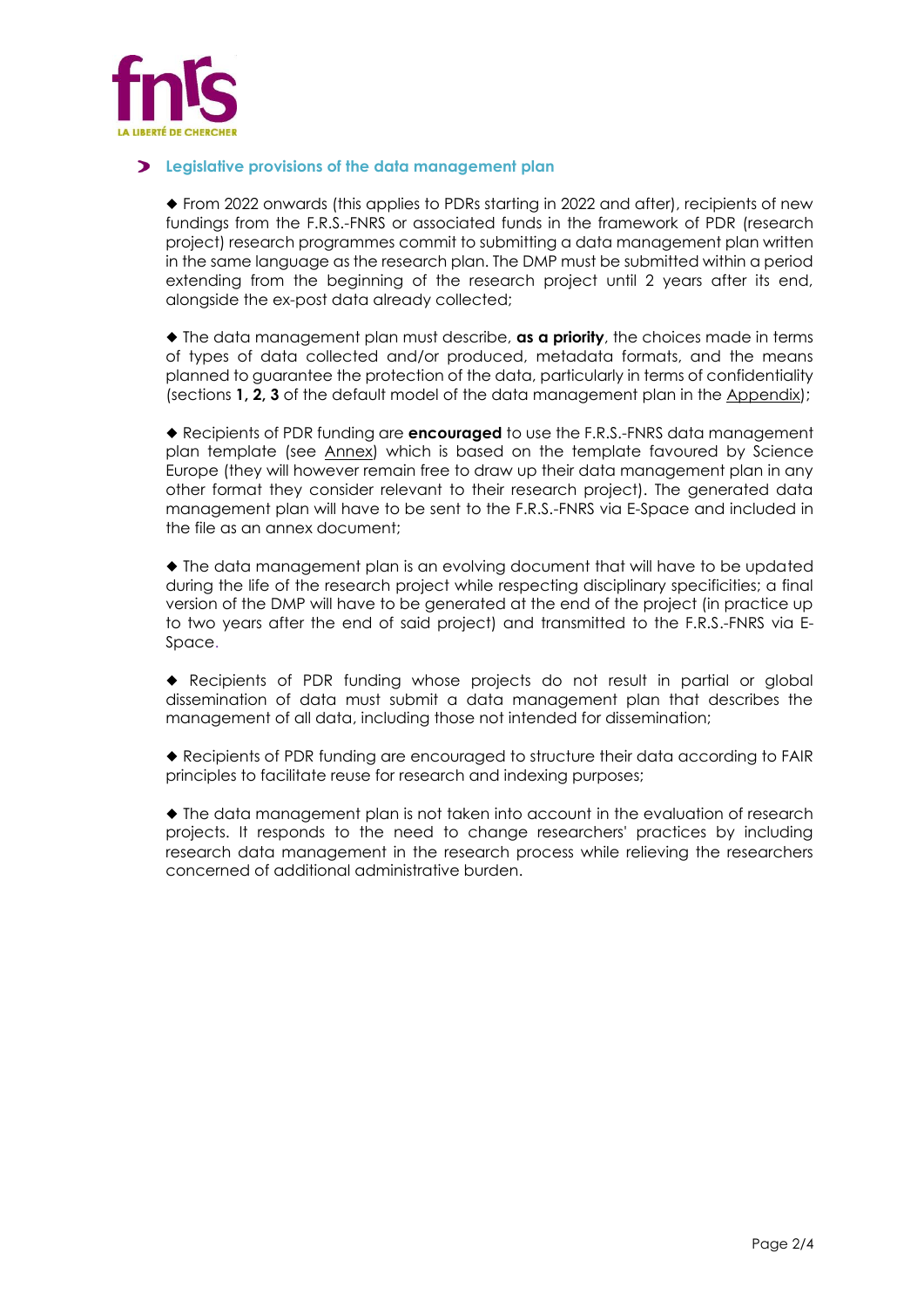

#### **Legislative provisions of the data management plan**

◆ From 2022 onwards (this applies to PDRs starting in 2022 and after), recipients of new fundings from the F.R.S.-FNRS or associated funds in the framework of PDR (research project) research programmes commit to submitting a data management plan written in the same language as the research plan. The DMP must be submitted within a period extending from the beginning of the research project until 2 years after its end, alongside the ex-post data already collected;

◆ The data management plan must describe, **as a priority**, the choices made in terms of types of data collected and/or produced, metadata formats, and the means planned to guarantee the protection of the data, particularly in terms of confidentiality (sections **1, 2, 3** of the default model of the data management plan in the [Appendix\)](https://scienceeurope.org/media/4brkxxe5/se_rdm_practical_guide_extended_final.pdf);

◆ Recipients of PDR funding are **encouraged** to use the F.R.S.-FNRS data management plan template (see [Annex\)](#page-2-0) which is based on the template favoured by Science Europe (they will however remain free to draw up their data management plan in any other format they consider relevant to their research project). The generated data management plan will have to be sent to the F.R.S.-FNRS via E-Space and included in the file as an annex document;

◆ The data management plan is an evolving document that will have to be updated during the life of the research project while respecting disciplinary specificities; a final version of the DMP will have to be generated at the end of the project (in practice up to two years after the end of said project) and transmitted to the F.R.S.-FNRS via E-Space.

◆ Recipients of PDR funding whose projects do not result in partial or global dissemination of data must submit a data management plan that describes the management of all data, including those not intended for dissemination;

◆ Recipients of PDR funding are encouraged to structure their data according to FAIR principles to facilitate reuse for research and indexing purposes;

◆ The data management plan is not taken into account in the evaluation of research projects. It responds to the need to change researchers' practices by including research data management in the research process while relieving the researchers concerned of additional administrative burden.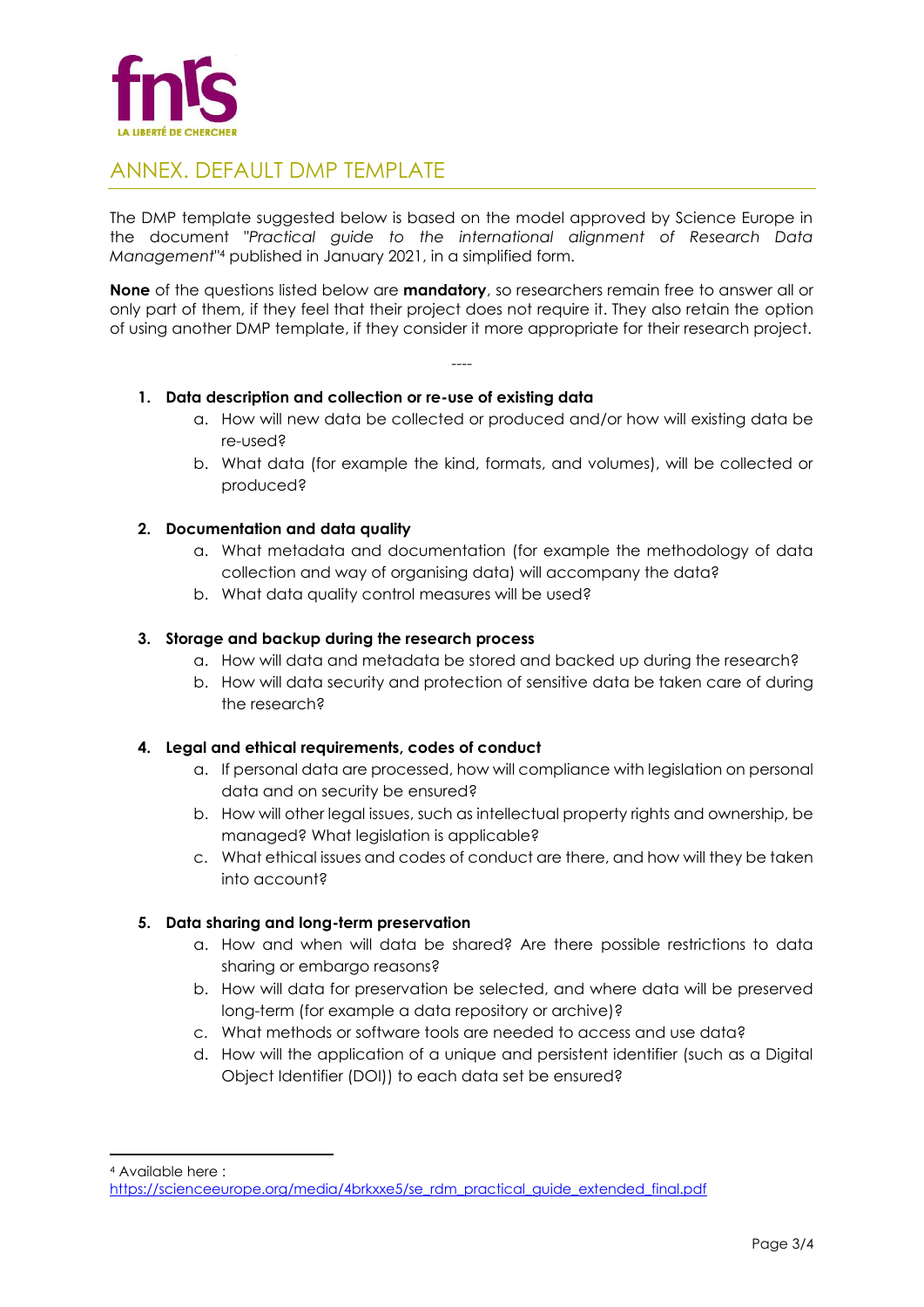

### <span id="page-2-0"></span>ANNEX. DEFAULT DMP TEMPLATE

The DMP template suggested below is based on the model approved by Science Europe in the document "*Practical guide to the international alignment of Research Data Management*" <sup>4</sup> published in January 2021, in a simplified form.

**None** of the questions listed below are **mandatory**, so researchers remain free to answer all or only part of them, if they feel that their project does not require it. They also retain the option of using another DMP template, if they consider it more appropriate for their research project.

----

### **1. Data description and collection or re-use of existing data**

- a. How will new data be collected or produced and/or how will existing data be re-used?
- b. What data (for example the kind, formats, and volumes), will be collected or produced?

### **2. Documentation and data quality**

- a. What metadata and documentation (for example the methodology of data collection and way of organising data) will accompany the data?
- b. What data quality control measures will be used?

### **3. Storage and backup during the research process**

- a. How will data and metadata be stored and backed up during the research?
- b. How will data security and protection of sensitive data be taken care of during the research?

#### **4. Legal and ethical requirements, codes of conduct**

- a. If personal data are processed, how will compliance with legislation on personal data and on security be ensured?
- b. How will other legal issues, such as intellectual property rights and ownership, be managed? What legislation is applicable?
- c. What ethical issues and codes of conduct are there, and how will they be taken into account?

### **5. Data sharing and long-term preservation**

- a. How and when will data be shared? Are there possible restrictions to data sharing or embargo reasons?
- b. How will data for preservation be selected, and where data will be preserved long-term (for example a data repository or archive)?
- c. What methods or software tools are needed to access and use data?
- d. How will the application of a unique and persistent identifier (such as a Digital Object Identifier (DOI)) to each data set be ensured?

<sup>4</sup> Available here :

[https://scienceeurope.org/media/4brkxxe5/se\\_rdm\\_practical\\_guide\\_extended\\_final.pdf](https://scienceeurope.org/media/4brkxxe5/se_rdm_practical_guide_extended_final.pdf)